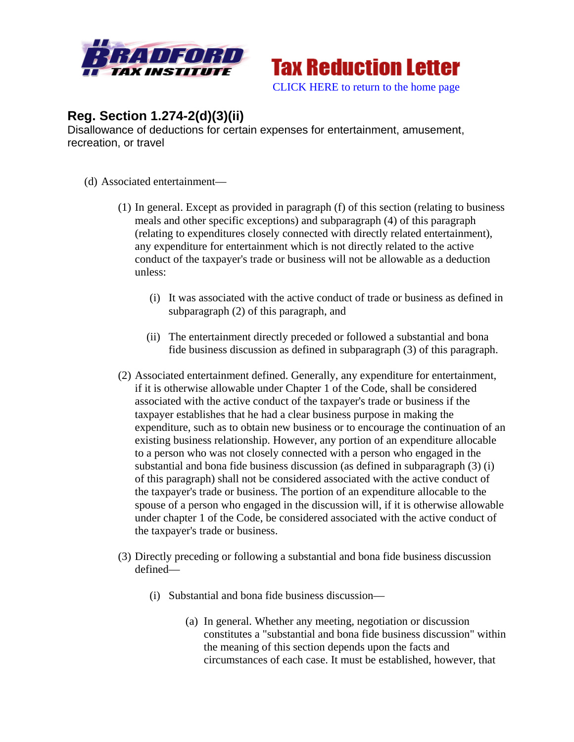



## **Reg. Section 1.274-2(d)(3)(ii)**

Disallowance of deductions for certain expenses for entertainment, amusement, recreation, or travel

- (d) Associated entertainment—
	- (1) In general. Except as provided in paragraph (f) of this section (relating to business meals and other specific exceptions) and subparagraph (4) of this paragraph (relating to expenditures closely connected with directly related entertainment), any expenditure for entertainment which is not directly related to the active conduct of the taxpayer's trade or business will not be allowable as a deduction unless:
		- (i) It was associated with the active conduct of trade or business as defined in subparagraph (2) of this paragraph, and
		- (ii) The entertainment directly preceded or followed a substantial and bona fide business discussion as defined in subparagraph (3) of this paragraph.
	- (2) Associated entertainment defined. Generally, any expenditure for entertainment, if it is otherwise allowable under Chapter 1 of the Code, shall be considered associated with the active conduct of the taxpayer's trade or business if the taxpayer establishes that he had a clear business purpose in making the expenditure, such as to obtain new business or to encourage the continuation of an existing business relationship. However, any portion of an expenditure allocable to a person who was not closely connected with a person who engaged in the substantial and bona fide business discussion (as defined in subparagraph (3) (i) of this paragraph) shall not be considered associated with the active conduct of the taxpayer's trade or business. The portion of an expenditure allocable to the spouse of a person who engaged in the discussion will, if it is otherwise allowable under chapter 1 of the Code, be considered associated with the active conduct of the taxpayer's trade or business.
	- (3) Directly preceding or following a substantial and bona fide business discussion defined—
		- (i) Substantial and bona fide business discussion—
			- (a) In general. Whether any meeting, negotiation or discussion constitutes a "substantial and bona fide business discussion" within the meaning of this section depends upon the facts and circumstances of each case. It must be established, however, that